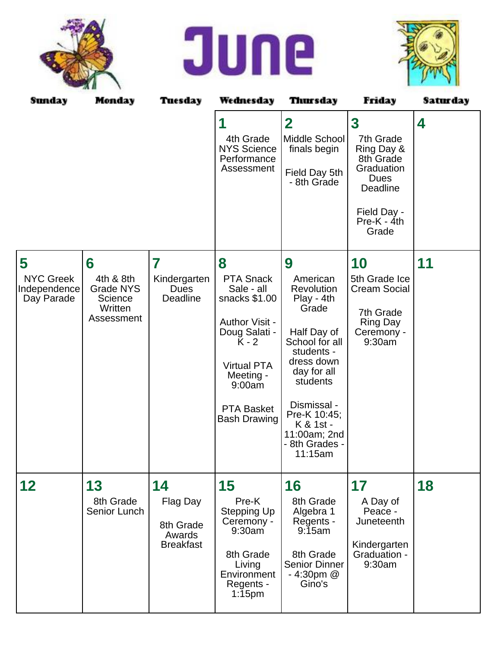





| Sunday                                              | Monday                                                                 | Tuesday                                                   | Wednesday                                                                                                                                                                                 | Thursday                                                                                                                                                                                                                            | Friday                                                                                                                                            | Saturday |
|-----------------------------------------------------|------------------------------------------------------------------------|-----------------------------------------------------------|-------------------------------------------------------------------------------------------------------------------------------------------------------------------------------------------|-------------------------------------------------------------------------------------------------------------------------------------------------------------------------------------------------------------------------------------|---------------------------------------------------------------------------------------------------------------------------------------------------|----------|
|                                                     |                                                                        |                                                           | 4th Grade<br><b>NYS Science</b><br>Performance<br>Assessment                                                                                                                              | $\overline{\mathbf{2}}$<br>Middle School<br>finals begin<br>Field Day 5th<br>- 8th Grade                                                                                                                                            | $\overline{\mathbf{3}}$<br>7th Grade<br>Ring Day &<br>8th Grade<br>Graduation<br><b>Dues</b><br>Deadline<br>Field Day -<br>$Pre-K - 4th$<br>Grade | 4        |
| 5<br><b>NYC Greek</b><br>Independence<br>Day Parade | 6<br>4th & 8th<br><b>Grade NYS</b><br>Science<br>Written<br>Assessment | 7<br>Kindergarten<br><b>Dues</b><br><b>Deadline</b>       | 8<br><b>PTA Snack</b><br>Sale - all<br>snacks \$1.00<br>Author Visit -<br>Doug Salati -<br>K - 2<br><b>Virtual PTA</b><br>Meeting -<br>9:00am<br><b>PTA Basket</b><br><b>Bash Drawing</b> | 9<br>American<br>Revolution<br>Play - 4th<br>Grade<br>Half Day of<br>School for all<br>students -<br>dress down<br>day for all<br>students<br>Dismissal -<br>Pre-K 10:45;<br>K & 1st -<br>11:00am; 2nd<br>- 8th Grades -<br>11:15am | 10<br>5th Grade Ice<br><b>Cream Social</b><br>7th Grade<br><b>Ring Day</b><br>Ceremony -<br>9:30am                                                | 11       |
| 12                                                  | 13<br>8th Grade<br>Senior Lunch                                        | 14<br>Flag Day<br>8th Grade<br>Awards<br><b>Breakfast</b> | 15<br>Pre-K<br><b>Stepping Up</b><br>Ceremony -<br>9:30am<br>8th Grade<br>Living<br>Environment<br>Regents -<br>$1:15$ pm                                                                 | 16<br>8th Grade<br>Algebra 1<br>Regents -<br>9:15am<br>8th Grade<br><b>Senior Dinner</b><br>$-4:30$ pm @<br>Gino's                                                                                                                  | 17<br>A Day of<br>Peace -<br>Juneteenth<br>Kindergarten<br>Graduation -<br>9:30am                                                                 | 18       |